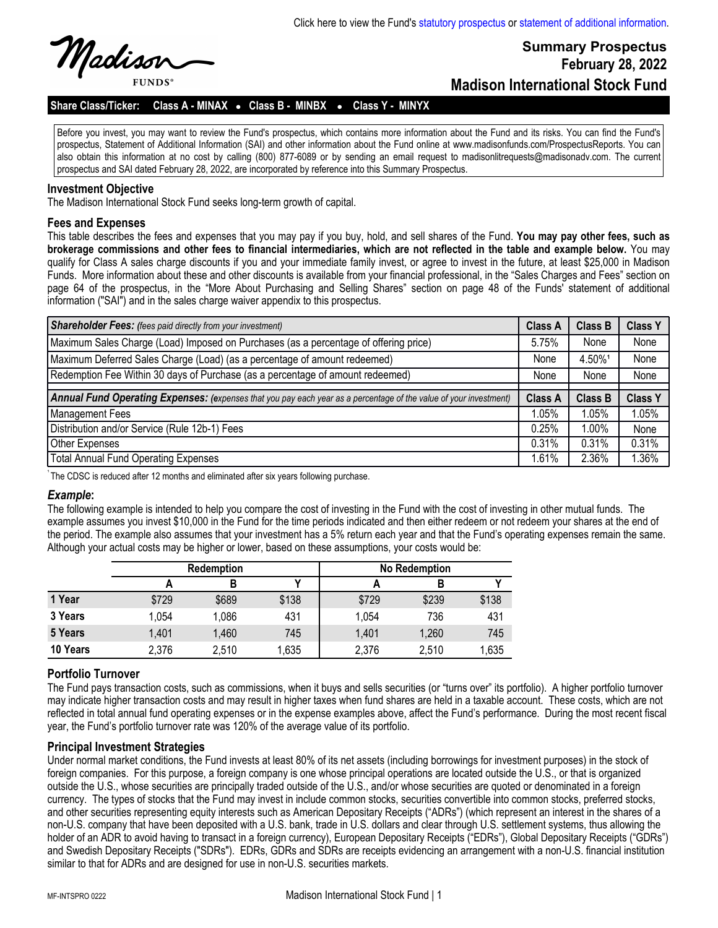

# **Summary Prospectus February 28, 2022 Madison International Stock Fund**

# Share Class/Ticker: Class A - MINAX . Class B - MINBX . Class Y - MINYX

Before you invest, you may want to review the Fund's prospectus, which contains more information about the Fund and its risks. You can find the Fund's prospectus, Statement of Additional Information (SAI) and other information about the Fund online at www.madisonfunds.com/ProspectusReports. You can also obtain this information at no cost by calling (800) 877-6089 or by sending an email request to madisonlitrequests@madisonadv.com. The current prospectus and SAI dated February 28, 2022, are incorporated by reference into this Summary Prospectus.

#### **Investment Objective**

The Madison International Stock Fund seeks long-term growth of capital.

#### **Fees and Expenses**

This table describes the fees and expenses that you may pay if you buy, hold, and sell shares of the Fund. **You may pay other fees, such as brokerage commissions and other fees to financial intermediaries, which are not reflected in the table and example below.** You may qualify for Class A sales charge discounts if you and your immediate family invest, or agree to invest in the future, at least \$25,000 in Madison Funds. More information about these and other discounts is available from your financial professional, in the "Sales Charges and Fees" section on page 64 of the prospectus, in the "More About Purchasing and Selling Shares" section on page 48 of the Funds' statement of additional information ("SAI") and in the sales charge waiver appendix to this prospectus.

| <b>Shareholder Fees:</b> (fees paid directly from your investment)                                                | <b>Class A</b> | Class B        | <b>Class Y</b> |
|-------------------------------------------------------------------------------------------------------------------|----------------|----------------|----------------|
| Maximum Sales Charge (Load) Imposed on Purchases (as a percentage of offering price)                              | 5.75%          | None           | None           |
| Maximum Deferred Sales Charge (Load) (as a percentage of amount redeemed)                                         | None           | 4.50%1         | None           |
| Redemption Fee Within 30 days of Purchase (as a percentage of amount redeemed)                                    | None           | None           | None           |
|                                                                                                                   |                |                |                |
| Annual Fund Operating Expenses: (expenses that you pay each year as a percentage of the value of your investment) | <b>Class A</b> | <b>Class B</b> | <b>Class Y</b> |
| <b>Management Fees</b>                                                                                            | 1.05%          | 1.05%          | 1.05%          |
| Distribution and/or Service (Rule 12b-1) Fees                                                                     | 0.25%          | $1.00\%$       | None           |
| Other Expenses                                                                                                    | 0.31%          | 0.31%          | 0.31%          |
| <b>Total Annual Fund Operating Expenses</b>                                                                       | 1.61%          | 2.36%          | 1.36%          |

The CDSC is reduced after 12 months and eliminated after six years following purchase.

#### *Example***:**

The following example is intended to help you compare the cost of investing in the Fund with the cost of investing in other mutual funds. The example assumes you invest \$10,000 in the Fund for the time periods indicated and then either redeem or not redeem your shares at the end of the period. The example also assumes that your investment has a 5% return each year and that the Fund's operating expenses remain the same. Although your actual costs may be higher or lower, based on these assumptions, your costs would be:

|          | <b>Redemption</b> |       |       | <b>No Redemption</b> |       |       |  |
|----------|-------------------|-------|-------|----------------------|-------|-------|--|
|          |                   | В     |       |                      |       |       |  |
| 1 Year   | \$729             | \$689 | \$138 | \$729                | \$239 | \$138 |  |
| 3 Years  | 1,054             | 1,086 | 431   | 1,054                | 736   | 431   |  |
| 5 Years  | 1,401             | 1,460 | 745   | 1,401                | 1,260 | 745   |  |
| 10 Years | 2,376             | 2,510 | 1,635 | 2,376                | 2,510 | 1,635 |  |

## **Portfolio Turnover**

The Fund pays transaction costs, such as commissions, when it buys and sells securities (or "turns over" its portfolio). A higher portfolio turnover may indicate higher transaction costs and may result in higher taxes when fund shares are held in a taxable account. These costs, which are not reflected in total annual fund operating expenses or in the expense examples above, affect the Fund's performance. During the most recent fiscal year, the Fund's portfolio turnover rate was 120% of the average value of its portfolio.

## **Principal Investment Strategies**

Under normal market conditions, the Fund invests at least 80% of its net assets (including borrowings for investment purposes) in the stock of foreign companies. For this purpose, a foreign company is one whose principal operations are located outside the U.S., or that is organized outside the U.S., whose securities are principally traded outside of the U.S., and/or whose securities are quoted or denominated in a foreign currency. The types of stocks that the Fund may invest in include common stocks, securities convertible into common stocks, preferred stocks, and other securities representing equity interests such as American Depositary Receipts ("ADRs") (which represent an interest in the shares of a non-U.S. company that have been deposited with a U.S. bank, trade in U.S. dollars and clear through U.S. settlement systems, thus allowing the holder of an ADR to avoid having to transact in a foreign currency), European Depositary Receipts ("EDRs"), Global Depositary Receipts ("GDRs") and Swedish Depositary Receipts ("SDRs"). EDRs, GDRs and SDRs are receipts evidencing an arrangement with a non-U.S. financial institution similar to that for ADRs and are designed for use in non-U.S. securities markets.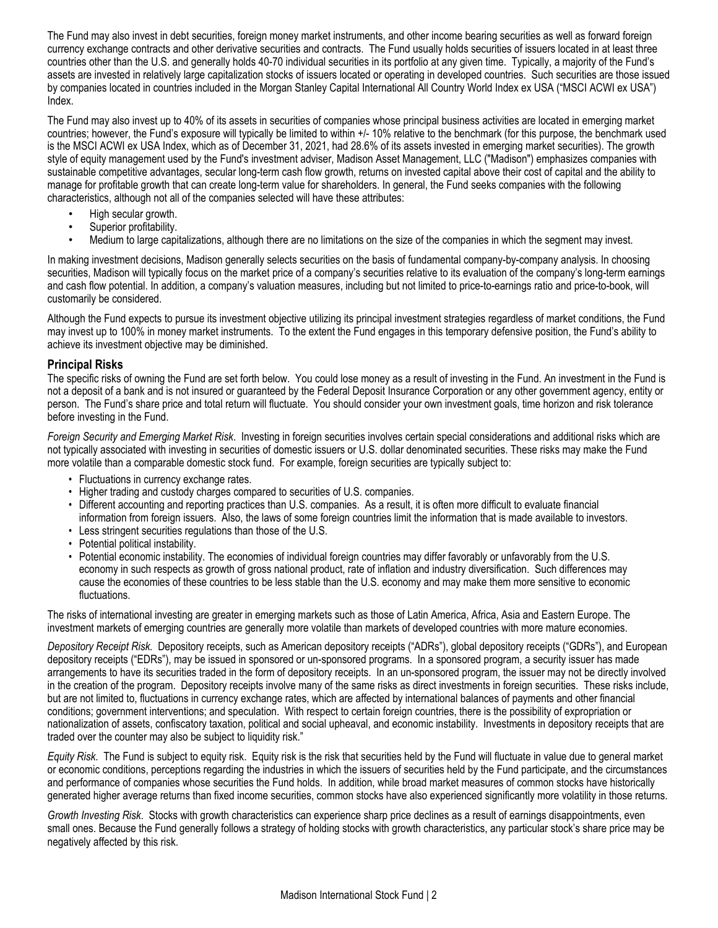The Fund may also invest in debt securities, foreign money market instruments, and other income bearing securities as well as forward foreign currency exchange contracts and other derivative securities and contracts. The Fund usually holds securities of issuers located in at least three countries other than the U.S. and generally holds 40-70 individual securities in its portfolio at any given time. Typically, a majority of the Fund's assets are invested in relatively large capitalization stocks of issuers located or operating in developed countries. Such securities are those issued by companies located in countries included in the Morgan Stanley Capital International All Country World Index ex USA ("MSCI ACWI ex USA") Index.

The Fund may also invest up to 40% of its assets in securities of companies whose principal business activities are located in emerging market countries; however, the Fund's exposure will typically be limited to within +/- 10% relative to the benchmark (for this purpose, the benchmark used is the MSCI ACWI ex USA Index, which as of December 31, 2021, had 28.6% of its assets invested in emerging market securities). The growth style of equity management used by the Fund's investment adviser, Madison Asset Management, LLC ("Madison") emphasizes companies with sustainable competitive advantages, secular long-term cash flow growth, returns on invested capital above their cost of capital and the ability to manage for profitable growth that can create long-term value for shareholders. In general, the Fund seeks companies with the following characteristics, although not all of the companies selected will have these attributes:

- High secular growth.
- Superior profitability.
- Medium to large capitalizations, although there are no limitations on the size of the companies in which the segment may invest.

In making investment decisions, Madison generally selects securities on the basis of fundamental company-by-company analysis. In choosing securities, Madison will typically focus on the market price of a company's securities relative to its evaluation of the company's long-term earnings and cash flow potential. In addition, a company's valuation measures, including but not limited to price-to-earnings ratio and price-to-book, will customarily be considered.

Although the Fund expects to pursue its investment objective utilizing its principal investment strategies regardless of market conditions, the Fund may invest up to 100% in money market instruments. To the extent the Fund engages in this temporary defensive position, the Fund's ability to achieve its investment objective may be diminished.

#### **Principal Risks**

The specific risks of owning the Fund are set forth below. You could lose money as a result of investing in the Fund. An investment in the Fund is not a deposit of a bank and is not insured or guaranteed by the Federal Deposit Insurance Corporation or any other government agency, entity or person. The Fund's share price and total return will fluctuate. You should consider your own investment goals, time horizon and risk tolerance before investing in the Fund.

*Foreign Security and Emerging Market Risk*. Investing in foreign securities involves certain special considerations and additional risks which are not typically associated with investing in securities of domestic issuers or U.S. dollar denominated securities. These risks may make the Fund more volatile than a comparable domestic stock fund. For example, foreign securities are typically subject to:

- Fluctuations in currency exchange rates.
- Higher trading and custody charges compared to securities of U.S. companies.
- Different accounting and reporting practices than U.S. companies. As a result, it is often more difficult to evaluate financial information from foreign issuers. Also, the laws of some foreign countries limit the information that is made available to investors.
- Less stringent securities regulations than those of the U.S.
- Potential political instability.
- Potential economic instability. The economies of individual foreign countries may differ favorably or unfavorably from the U.S. economy in such respects as growth of gross national product, rate of inflation and industry diversification. Such differences may cause the economies of these countries to be less stable than the U.S. economy and may make them more sensitive to economic fluctuations.

The risks of international investing are greater in emerging markets such as those of Latin America, Africa, Asia and Eastern Europe. The investment markets of emerging countries are generally more volatile than markets of developed countries with more mature economies.

*Depository Receipt Risk.* Depository receipts, such as American depository receipts ("ADRs"), global depository receipts ("GDRs"), and European depository receipts ("EDRs"), may be issued in sponsored or un-sponsored programs. In a sponsored program, a security issuer has made arrangements to have its securities traded in the form of depository receipts. In an un-sponsored program, the issuer may not be directly involved in the creation of the program. Depository receipts involve many of the same risks as direct investments in foreign securities. These risks include, but are not limited to, fluctuations in currency exchange rates, which are affected by international balances of payments and other financial conditions; government interventions; and speculation. With respect to certain foreign countries, there is the possibility of expropriation or nationalization of assets, confiscatory taxation, political and social upheaval, and economic instability. Investments in depository receipts that are traded over the counter may also be subject to liquidity risk."

*Equity Risk*. The Fund is subject to equity risk. Equity risk is the risk that securities held by the Fund will fluctuate in value due to general market or economic conditions, perceptions regarding the industries in which the issuers of securities held by the Fund participate, and the circumstances and performance of companies whose securities the Fund holds. In addition, while broad market measures of common stocks have historically generated higher average returns than fixed income securities, common stocks have also experienced significantly more volatility in those returns.

*Growth Investing Risk*. Stocks with growth characteristics can experience sharp price declines as a result of earnings disappointments, even small ones. Because the Fund generally follows a strategy of holding stocks with growth characteristics, any particular stock's share price may be negatively affected by this risk.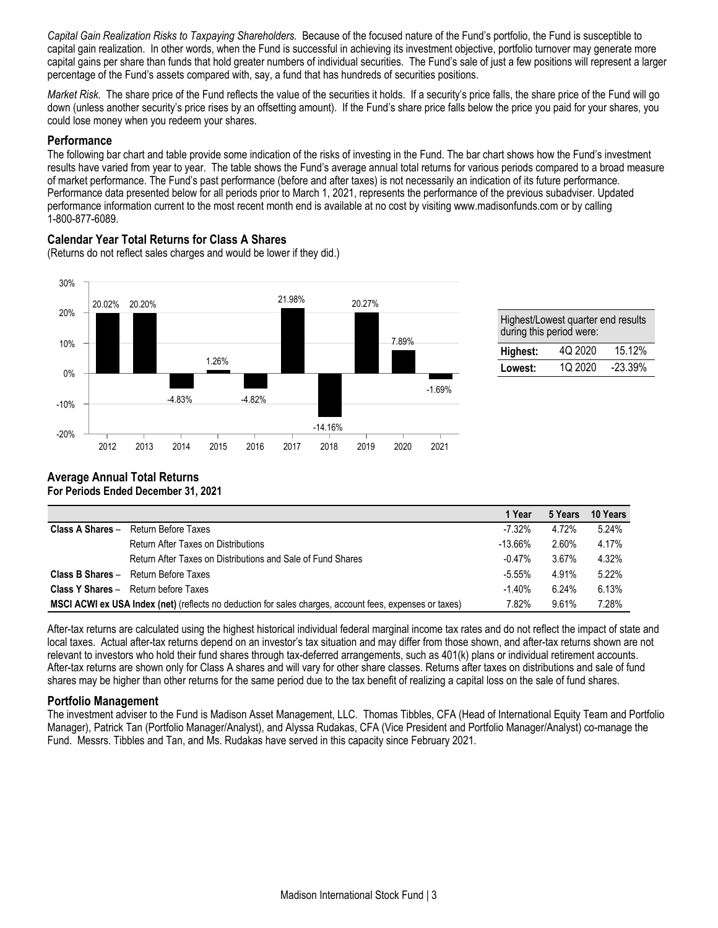*Capital Gain Realization Risks to Taxpaying Shareholders.* Because of the focused nature of the Fund's portfolio, the Fund is susceptible to capital gain realization. In other words, when the Fund is successful in achieving its investment objective, portfolio turnover may generate more capital gains per share than funds that hold greater numbers of individual securities. The Fund's sale of just a few positions will represent a larger percentage of the Fund's assets compared with, say, a fund that has hundreds of securities positions.

*Market Risk.* The share price of the Fund reflects the value of the securities it holds. If a security's price falls, the share price of the Fund will go down (unless another security's price rises by an offsetting amount). If the Fund's share price falls below the price you paid for your shares, you could lose money when you redeem your shares.

#### **Performance**

The following bar chart and table provide some indication of the risks of investing in the Fund. The bar chart shows how the Fund's investment results have varied from year to year. The table shows the Fund's average annual total returns for various periods compared to a broad measure of market performance. The Fund's past performance (before and after taxes) is not necessarily an indication of its future performance. Performance data presented below for all periods prior to March 1, 2021, represents the performance of the previous subadviser. Updated performance information current to the most recent month end is available at no cost by visiting www.madisonfunds.com or by calling 1-800-877-6089.

# **Calendar Year Total Returns for Class A Shares**

(Returns do not reflect sales charges and would be lower if they did.)



| Highest/Lowest quarter end results<br>during this period were: |         |           |  |  |
|----------------------------------------------------------------|---------|-----------|--|--|
| Highest:                                                       | 4Q 2020 | 15.12%    |  |  |
| Lowest:                                                        | 10 2020 | $-23.39%$ |  |  |

#### **Average Annual Total Returns For Periods Ended December 31, 2021**

|                                                                                                                |                                                             | 1 Year     | 5 Years | 10 Years |
|----------------------------------------------------------------------------------------------------------------|-------------------------------------------------------------|------------|---------|----------|
|                                                                                                                | <b>Class A Shares - Return Before Taxes</b>                 | $-7.32\%$  | 4.72%   | 5.24%    |
|                                                                                                                | <b>Return After Taxes on Distributions</b>                  | $-13.66\%$ | 2.60%   | 4.17%    |
|                                                                                                                | Return After Taxes on Distributions and Sale of Fund Shares | $-0.47%$   | 3.67%   | 4.32%    |
|                                                                                                                | <b>Class B Shares - Return Before Taxes</b>                 | $-5.55\%$  | 4.91%   | $5.22\%$ |
|                                                                                                                | <b>Class Y Shares - Return before Taxes</b>                 | $-1.40%$   | 6.24%   | 6.13%    |
| <b>MSCI ACWI ex USA Index (net)</b> (reflects no deduction for sales charges, account fees, expenses or taxes) |                                                             | 7.82%      | 9.61%   | 7.28%    |

After-tax returns are calculated using the highest historical individual federal marginal income tax rates and do not reflect the impact of state and local taxes. Actual after-tax returns depend on an investor's tax situation and may differ from those shown, and after-tax returns shown are not relevant to investors who hold their fund shares through tax-deferred arrangements, such as 401(k) plans or individual retirement accounts. After-tax returns are shown only for Class A shares and will vary for other share classes. Returns after taxes on distributions and sale of fund shares may be higher than other returns for the same period due to the tax benefit of realizing a capital loss on the sale of fund shares.

## **Portfolio Management**

The investment adviser to the Fund is Madison Asset Management, LLC. Thomas Tibbles, CFA (Head of International Equity Team and Portfolio Manager), Patrick Tan (Portfolio Manager/Analyst), and Alyssa Rudakas, CFA (Vice President and Portfolio Manager/Analyst) co-manage the Fund. Messrs. Tibbles and Tan, and Ms. Rudakas have served in this capacity since February 2021.